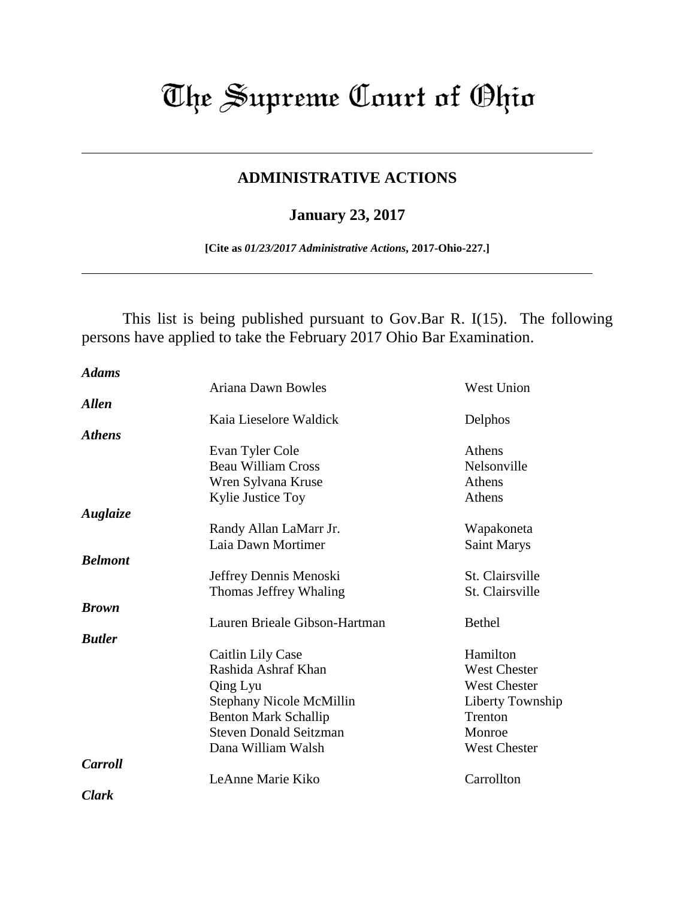## The Supreme Court of Ohio

## **ADMINISTRATIVE ACTIONS**

## **January 23, 2017**

**[Cite as** *01/23/2017 Administrative Actions***, 2017-Ohio-227.]**

This list is being published pursuant to Gov.Bar R. I(15). The following persons have applied to take the February 2017 Ohio Bar Examination.

| <b>Adams</b>   |                               |                     |
|----------------|-------------------------------|---------------------|
|                | Ariana Dawn Bowles            | <b>West Union</b>   |
| <b>Allen</b>   |                               |                     |
|                | Kaia Lieselore Waldick        | Delphos             |
| <b>Athens</b>  |                               |                     |
|                | Evan Tyler Cole               | Athens              |
|                | <b>Beau William Cross</b>     | Nelsonville         |
|                | Wren Sylvana Kruse            | Athens              |
|                | Kylie Justice Toy             | Athens              |
| Auglaize       |                               |                     |
|                | Randy Allan LaMarr Jr.        | Wapakoneta          |
|                | Laia Dawn Mortimer            | <b>Saint Marys</b>  |
| <b>Belmont</b> |                               |                     |
|                | Jeffrey Dennis Menoski        | St. Clairsville     |
|                | Thomas Jeffrey Whaling        | St. Clairsville     |
| <b>Brown</b>   |                               |                     |
|                | Lauren Brieale Gibson-Hartman | <b>Bethel</b>       |
| <b>Rutler</b>  |                               |                     |
|                | Caitlin Lily Case             | Hamilton            |
|                | Rashida Ashraf Khan           | <b>West Chester</b> |
|                | Qing Lyu                      | <b>West Chester</b> |
|                | Stephany Nicole McMillin      | Liberty Township    |
|                | <b>Benton Mark Schallip</b>   | Trenton             |
|                | <b>Steven Donald Seitzman</b> | Monroe              |
|                | Dana William Walsh            | <b>West Chester</b> |
| <b>Carroll</b> |                               |                     |
|                | LeAnne Marie Kiko             | Carrollton          |
| Clark          |                               |                     |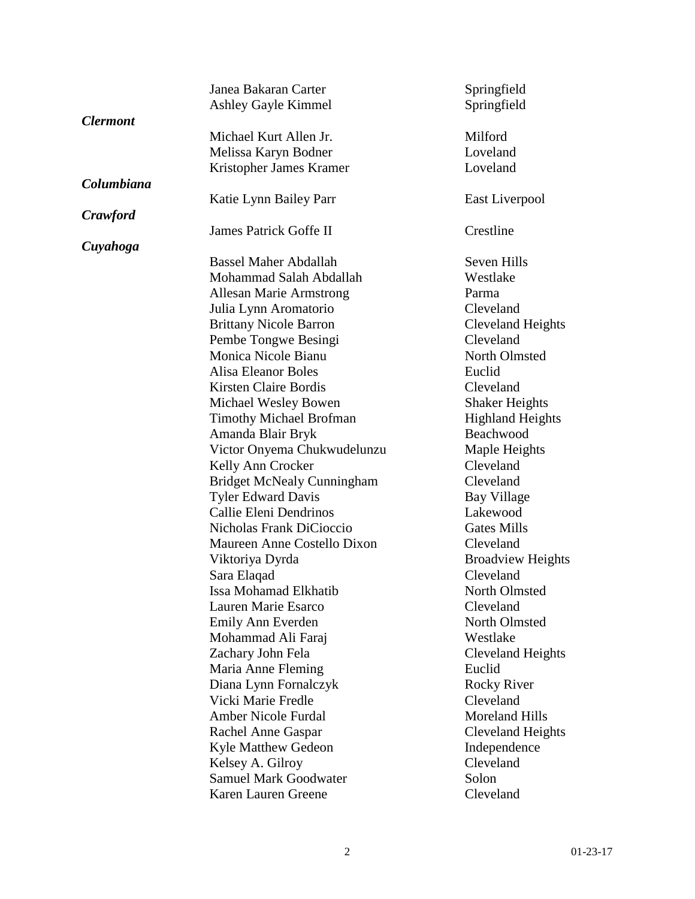|                        | Janea Bakaran Carter              | Springfield              |
|------------------------|-----------------------------------|--------------------------|
|                        | Ashley Gayle Kimmel               | Springfield              |
| <i><b>Clermont</b></i> |                                   |                          |
|                        | Michael Kurt Allen Jr.            | Milford                  |
|                        | Melissa Karyn Bodner              | Loveland                 |
|                        | Kristopher James Kramer           | Loveland                 |
| Columbiana             |                                   |                          |
|                        | Katie Lynn Bailey Parr            | East Liverpool           |
| <b>Crawford</b>        |                                   |                          |
|                        | James Patrick Goffe II            | Crestline                |
| Cuyahoga               |                                   |                          |
|                        | <b>Bassel Maher Abdallah</b>      | Seven Hills              |
|                        | Mohammad Salah Abdallah           | Westlake                 |
|                        | <b>Allesan Marie Armstrong</b>    | Parma                    |
|                        | Julia Lynn Aromatorio             | Cleveland                |
|                        | <b>Brittany Nicole Barron</b>     | Cleveland Heights        |
|                        | Pembe Tongwe Besingi              | Cleveland                |
|                        | Monica Nicole Bianu               | North Olmsted            |
|                        | <b>Alisa Eleanor Boles</b>        | Euclid                   |
|                        | <b>Kirsten Claire Bordis</b>      | Cleveland                |
|                        | Michael Wesley Bowen              | <b>Shaker Heights</b>    |
|                        | <b>Timothy Michael Brofman</b>    | <b>Highland Heights</b>  |
|                        | Amanda Blair Bryk                 | Beachwood                |
|                        | Victor Onyema Chukwudelunzu       | Maple Heights            |
|                        | Kelly Ann Crocker                 | Cleveland                |
|                        | <b>Bridget McNealy Cunningham</b> | Cleveland                |
|                        | <b>Tyler Edward Davis</b>         | Bay Village              |
|                        | Callie Eleni Dendrinos            | Lakewood                 |
|                        | Nicholas Frank DiCioccio          | <b>Gates Mills</b>       |
|                        | Maureen Anne Costello Dixon       | Cleveland                |
|                        | Viktoriya Dyrda                   | <b>Broadview Heights</b> |
|                        | Sara Elaqad                       | Cleveland                |
|                        | Issa Mohamad Elkhatib             | North Olmsted            |
|                        | Lauren Marie Esarco               | Cleveland                |
|                        | Emily Ann Everden                 | North Olmsted            |
|                        | Mohammad Ali Faraj                | Westlake                 |
|                        | Zachary John Fela                 | Cleveland Heights        |
|                        | Maria Anne Fleming                | Euclid                   |
|                        | Diana Lynn Fornalczyk             | <b>Rocky River</b>       |
|                        | Vicki Marie Fredle                | Cleveland                |
|                        | <b>Amber Nicole Furdal</b>        | <b>Moreland Hills</b>    |
|                        | Rachel Anne Gaspar                | <b>Cleveland Heights</b> |
|                        | <b>Kyle Matthew Gedeon</b>        | Independence             |
|                        | Kelsey A. Gilroy                  | Cleveland                |
|                        | <b>Samuel Mark Goodwater</b>      | Solon                    |
|                        |                                   |                          |
|                        | Karen Lauren Greene               | Cleveland                |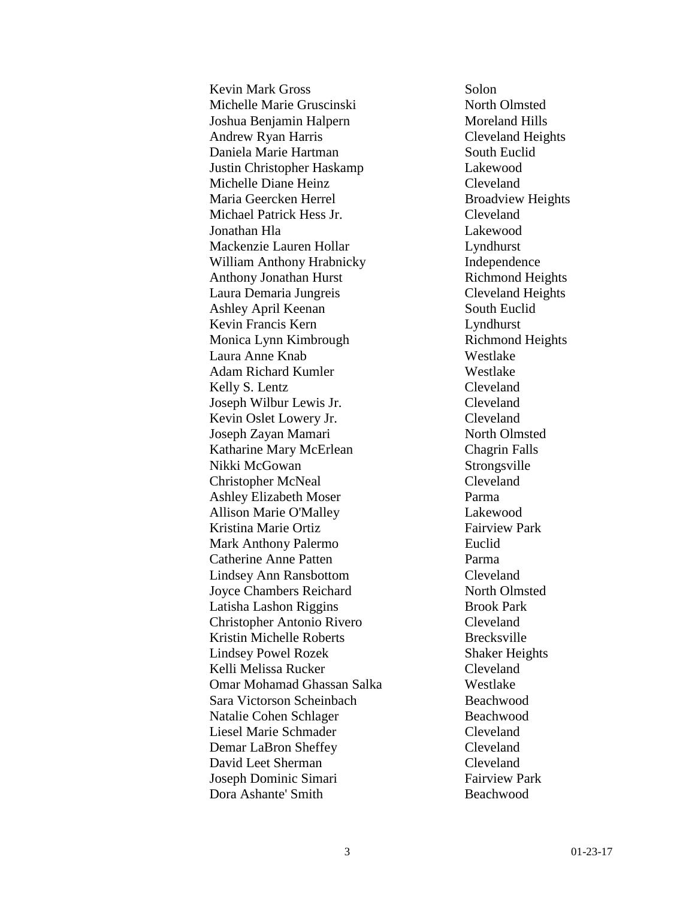Kevin Mark Gross Solon Michelle Marie Gruscinski North Olmsted Joshua Benjamin Halpern Moreland Hills Andrew Ryan Harris Cleveland Heights Daniela Marie Hartman South Euclid Justin Christopher Haskamp Lakewood Michelle Diane Heinz Cleveland Maria Geercken Herrel Broadview Heights Michael Patrick Hess Jr. Cleveland Jonathan Hla Lakewood Mackenzie Lauren Hollar Lyndhurst William Anthony Hrabnicky Independence Anthony Jonathan Hurst Richmond Heights Laura Demaria Jungreis Cleveland Heights Ashley April Keenan South Euclid Kevin Francis Kern Lyndhurst Monica Lynn Kimbrough Richmond Heights Laura Anne Knab Westlake Adam Richard Kumler Westlake Kelly S. Lentz Cleveland Joseph Wilbur Lewis Jr. Cleveland Kevin Oslet Lowery Jr. Cleveland Joseph Zayan Mamari North Olmsted Katharine Mary McErlean Chagrin Falls Nikki McGowan Strongsville Christopher McNeal Cleveland Ashley Elizabeth Moser Parma Allison Marie O'Malley Lakewood Kristina Marie Ortiz Fairview Park Mark Anthony Palermo Euclid Catherine Anne Patten Parma Lindsey Ann Ransbottom Cleveland Joyce Chambers Reichard North Olmsted Latisha Lashon Riggins Brook Park Christopher Antonio Rivero Cleveland Kristin Michelle Roberts Brecksville Lindsey Powel Rozek Shaker Heights Kelli Melissa Rucker Cleveland Omar Mohamad Ghassan Salka Westlake Sara Victorson Scheinbach Beachwood Natalie Cohen Schlager Beachwood Liesel Marie Schmader Cleveland Demar LaBron Sheffey Cleveland David Leet Sherman Cleveland Joseph Dominic Simari Fairview Park Dora Ashante' Smith Beachwood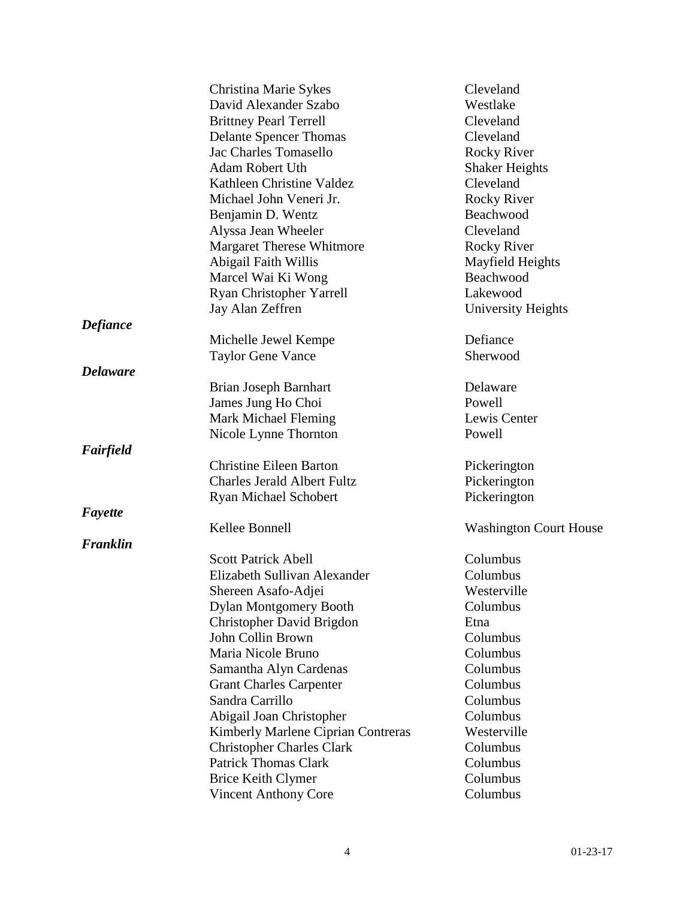|                 | Christina Marie Sykes              | Cleveland                     |
|-----------------|------------------------------------|-------------------------------|
|                 | David Alexander Szabo              | Westlake                      |
|                 | <b>Brittney Pearl Terrell</b>      | Cleveland                     |
|                 | <b>Delante Spencer Thomas</b>      | Cleveland                     |
|                 | <b>Jac Charles Tomasello</b>       | <b>Rocky River</b>            |
|                 | <b>Adam Robert Uth</b>             | <b>Shaker Heights</b>         |
|                 | Kathleen Christine Valdez          | Cleveland                     |
|                 | Michael John Veneri Jr.            | <b>Rocky River</b>            |
|                 | Benjamin D. Wentz                  | Beachwood                     |
|                 | Alyssa Jean Wheeler                | Cleveland                     |
|                 | <b>Margaret Therese Whitmore</b>   | <b>Rocky River</b>            |
|                 | Abigail Faith Willis               | Mayfield Heights              |
|                 | Marcel Wai Ki Wong                 | Beachwood                     |
|                 | Ryan Christopher Yarrell           | Lakewood                      |
|                 | Jay Alan Zeffren                   | University Heights            |
| <b>Defiance</b> |                                    |                               |
|                 | Michelle Jewel Kempe               | Defiance                      |
|                 | <b>Taylor Gene Vance</b>           | Sherwood                      |
| <b>Delaware</b> |                                    |                               |
|                 | Brian Joseph Barnhart              | Delaware                      |
|                 | James Jung Ho Choi                 | Powell                        |
|                 | <b>Mark Michael Fleming</b>        | Lewis Center                  |
|                 | Nicole Lynne Thornton              | Powell                        |
| Fairfield       |                                    |                               |
|                 | <b>Christine Eileen Barton</b>     | Pickerington                  |
|                 | <b>Charles Jerald Albert Fultz</b> | Pickerington                  |
|                 | <b>Ryan Michael Schobert</b>       | Pickerington                  |
| Fayette         |                                    |                               |
|                 | Kellee Bonnell                     | <b>Washington Court House</b> |
| Franklin        |                                    |                               |
|                 | <b>Scott Patrick Abell</b>         | Columbus                      |
|                 | Elizabeth Sullivan Alexander       | Columbus                      |
|                 | Shereen Asafo-Adjei                | Westerville                   |
|                 | <b>Dylan Montgomery Booth</b>      | Columbus                      |
|                 | Christopher David Brigdon          | Etna                          |
|                 | John Collin Brown                  | Columbus                      |
|                 | Maria Nicole Bruno                 | Columbus                      |
|                 | Samantha Alyn Cardenas             | Columbus                      |
|                 | <b>Grant Charles Carpenter</b>     | Columbus                      |
|                 | Sandra Carrillo                    | Columbus                      |
|                 | Abigail Joan Christopher           | Columbus                      |
|                 | Kimberly Marlene Ciprian Contreras | Westerville                   |
|                 | <b>Christopher Charles Clark</b>   | Columbus                      |
|                 | <b>Patrick Thomas Clark</b>        | Columbus                      |
|                 | <b>Brice Keith Clymer</b>          | Columbus                      |
|                 | <b>Vincent Anthony Core</b>        | Columbus                      |
|                 |                                    |                               |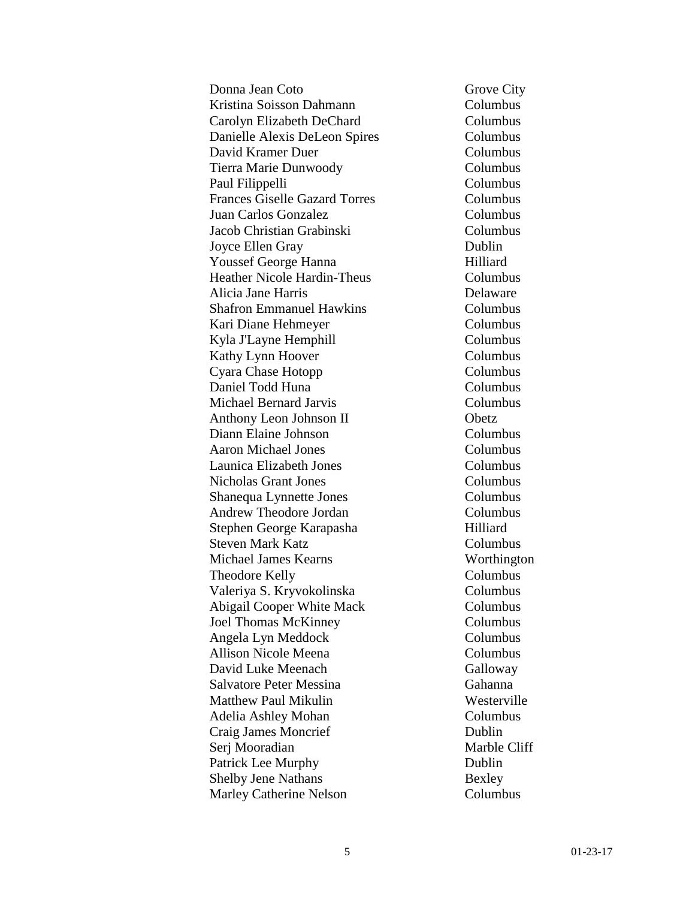Donna Jean Coto Grove City Kristina Soisson Dahmann Columbus Carolyn Elizabeth DeChard Columbus Danielle Alexis DeLeon Spires Columbus David Kramer Duer Columbus Tierra Marie Dunwoody Columbus Paul Filippelli Columbus Frances Giselle Gazard Torres Columbus Juan Carlos Gonzalez Columbus Jacob Christian Grabinski Columbus Joyce Ellen Gray Dublin Youssef George Hanna Hilliard Heather Nicole Hardin-Theus Columbus Alicia Jane Harris Delaware Shafron Emmanuel Hawkins Columbus Kari Diane Hehmeyer Columbus Kyla J'Layne Hemphill Columbus Kathy Lynn Hoover Columbus Cyara Chase Hotopp Columbus Daniel Todd Huna Columbus Michael Bernard Jarvis Columbus Anthony Leon Johnson II Obetz Diann Elaine Johnson Columbus Aaron Michael Jones Columbus Launica Elizabeth Jones Columbus Nicholas Grant Jones Columbus Shanequa Lynnette Jones Columbus Andrew Theodore Jordan Columbus Stephen George Karapasha Hilliard Steven Mark Katz Columbus Michael James Kearns Worthington Theodore Kelly Columbus Valeriya S. Kryvokolinska Columbus Abigail Cooper White Mack Columbus Joel Thomas McKinney Columbus Angela Lyn Meddock Columbus Allison Nicole Meena Columbus David Luke Meenach Galloway Salvatore Peter Messina Gahanna Matthew Paul Mikulin Westerville Adelia Ashley Mohan Columbus Craig James Moncrief Dublin Serj Mooradian Marble Cliff Patrick Lee Murphy Dublin Shelby Jene Nathans Bexley Marley Catherine Nelson Columbus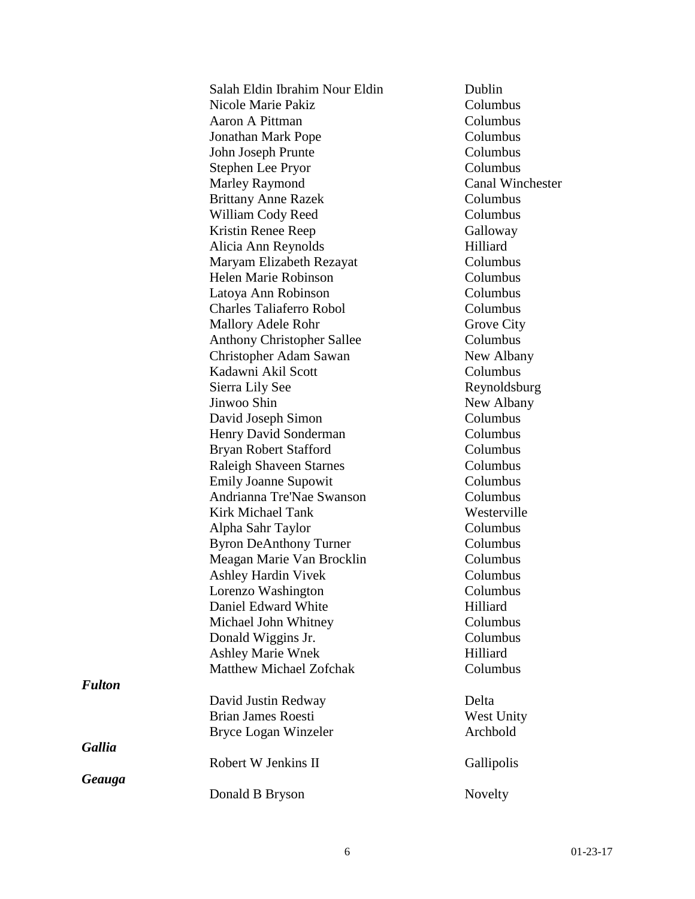|               | Salah Eldin Ibrahim Nour Eldin    | Dublin                  |
|---------------|-----------------------------------|-------------------------|
|               | Nicole Marie Pakiz                | Columbus                |
|               | Aaron A Pittman                   | Columbus                |
|               | <b>Jonathan Mark Pope</b>         | Columbus                |
|               | John Joseph Prunte                | Columbus                |
|               | Stephen Lee Pryor                 | Columbus                |
|               | <b>Marley Raymond</b>             | <b>Canal Winchester</b> |
|               | <b>Brittany Anne Razek</b>        | Columbus                |
|               | William Cody Reed                 | Columbus                |
|               | Kristin Renee Reep                | Galloway                |
|               | Alicia Ann Reynolds               | Hilliard                |
|               | Maryam Elizabeth Rezayat          | Columbus                |
|               | Helen Marie Robinson              | Columbus                |
|               | Latoya Ann Robinson               | Columbus                |
|               | <b>Charles Taliaferro Robol</b>   | Columbus                |
|               | <b>Mallory Adele Rohr</b>         | Grove City              |
|               | <b>Anthony Christopher Sallee</b> | Columbus                |
|               | Christopher Adam Sawan            | New Albany              |
|               | Kadawni Akil Scott                | Columbus                |
|               | Sierra Lily See                   | Reynoldsburg            |
|               | Jinwoo Shin                       | New Albany              |
|               | David Joseph Simon                | Columbus                |
|               | Henry David Sonderman             | Columbus                |
|               | Bryan Robert Stafford             | Columbus                |
|               | <b>Raleigh Shaveen Starnes</b>    | Columbus                |
|               | <b>Emily Joanne Supowit</b>       | Columbus                |
|               | Andrianna Tre'Nae Swanson         | Columbus                |
|               | <b>Kirk Michael Tank</b>          | Westerville             |
|               | Alpha Sahr Taylor                 | Columbus                |
|               | <b>Byron DeAnthony Turner</b>     | Columbus                |
|               | Meagan Marie Van Brocklin         | Columbus                |
|               | <b>Ashley Hardin Vivek</b>        | Columbus                |
|               | Lorenzo Washington                | Columbus                |
|               | Daniel Edward White               | Hilliard                |
|               | Michael John Whitney              | Columbus                |
|               | Donald Wiggins Jr.                | Columbus                |
|               | <b>Ashley Marie Wnek</b>          | Hilliard                |
|               | Matthew Michael Zofchak           | Columbus                |
| <b>Fulton</b> |                                   |                         |
|               | David Justin Redway               | Delta                   |
|               | <b>Brian James Roesti</b>         | West Unity              |
|               | Bryce Logan Winzeler              | Archbold                |
| <b>Gallia</b> |                                   |                         |
|               | Robert W Jenkins II               | Gallipolis              |
| Geauga        |                                   |                         |
|               | Donald B Bryson                   | Novelty                 |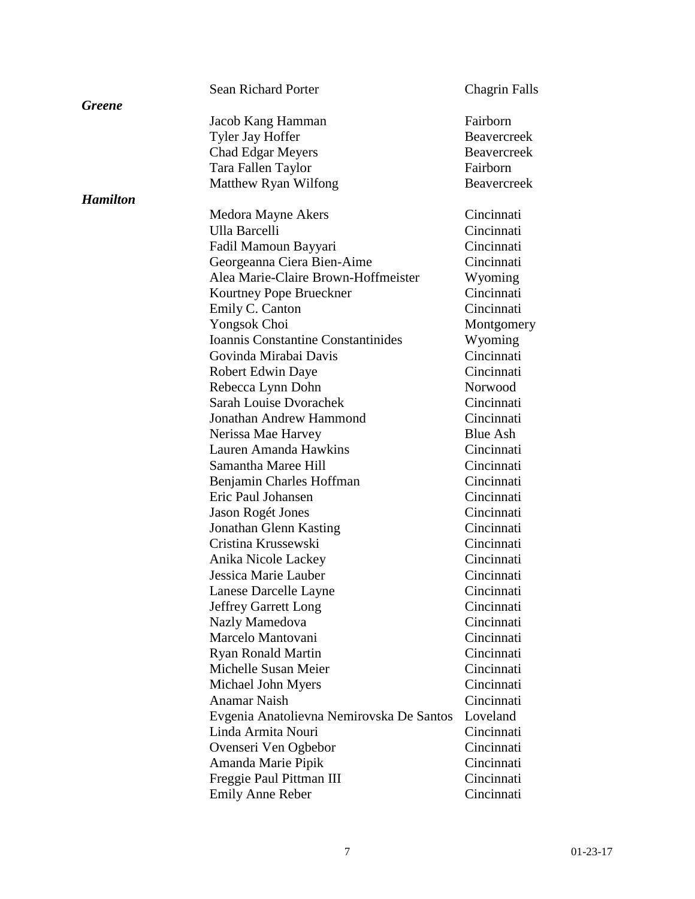|                 | <b>Sean Richard Porter</b>               | <b>Chagrin Falls</b> |
|-----------------|------------------------------------------|----------------------|
| <b>Greene</b>   |                                          |                      |
|                 | Jacob Kang Hamman                        | Fairborn             |
|                 | Tyler Jay Hoffer                         | <b>Beavercreek</b>   |
|                 | <b>Chad Edgar Meyers</b>                 | <b>Beavercreek</b>   |
|                 | Tara Fallen Taylor                       | Fairborn             |
|                 | Matthew Ryan Wilfong                     | <b>Beavercreek</b>   |
| <b>Hamilton</b> |                                          |                      |
|                 | Medora Mayne Akers                       | Cincinnati           |
|                 | Ulla Barcelli                            | Cincinnati           |
|                 | Fadil Mamoun Bayyari                     | Cincinnati           |
|                 | Georgeanna Ciera Bien-Aime               | Cincinnati           |
|                 | Alea Marie-Claire Brown-Hoffmeister      | Wyoming              |
|                 | Kourtney Pope Brueckner                  | Cincinnati           |
|                 | Emily C. Canton                          | Cincinnati           |
|                 | Yongsok Choi                             | Montgomery           |
|                 | Ioannis Constantine Constantinides       | Wyoming              |
|                 | Govinda Mirabai Davis                    | Cincinnati           |
|                 | Robert Edwin Daye                        | Cincinnati           |
|                 | Rebecca Lynn Dohn                        | Norwood              |
|                 | <b>Sarah Louise Dvorachek</b>            | Cincinnati           |
|                 | Jonathan Andrew Hammond                  | Cincinnati           |
|                 | Nerissa Mae Harvey                       | <b>Blue Ash</b>      |
|                 | Lauren Amanda Hawkins                    | Cincinnati           |
|                 | Samantha Maree Hill                      | Cincinnati           |
|                 | Benjamin Charles Hoffman                 | Cincinnati           |
|                 | Eric Paul Johansen                       | Cincinnati           |
|                 | <b>Jason Rogét Jones</b>                 | Cincinnati           |
|                 | Jonathan Glenn Kasting                   | Cincinnati           |
|                 | Cristina Krussewski                      | Cincinnati           |
|                 | Anika Nicole Lackey                      | Cincinnati           |
|                 | Jessica Marie Lauber                     | Cincinnati           |
|                 | Lanese Darcelle Layne                    | Cincinnati           |
|                 | <b>Jeffrey Garrett Long</b>              | Cincinnati           |
|                 | Nazly Mamedova                           | Cincinnati           |
|                 | Marcelo Mantovani                        | Cincinnati           |
|                 | <b>Ryan Ronald Martin</b>                | Cincinnati           |
|                 | Michelle Susan Meier                     | Cincinnati           |
|                 | Michael John Myers                       | Cincinnati           |
|                 | <b>Anamar Naish</b>                      | Cincinnati           |
|                 | Evgenia Anatolievna Nemirovska De Santos | Loveland             |
|                 | Linda Armita Nouri                       | Cincinnati           |
|                 | Ovenseri Ven Ogbebor                     | Cincinnati           |
|                 | Amanda Marie Pipik                       | Cincinnati           |
|                 | Freggie Paul Pittman III                 | Cincinnati           |
|                 | <b>Emily Anne Reber</b>                  | Cincinnati           |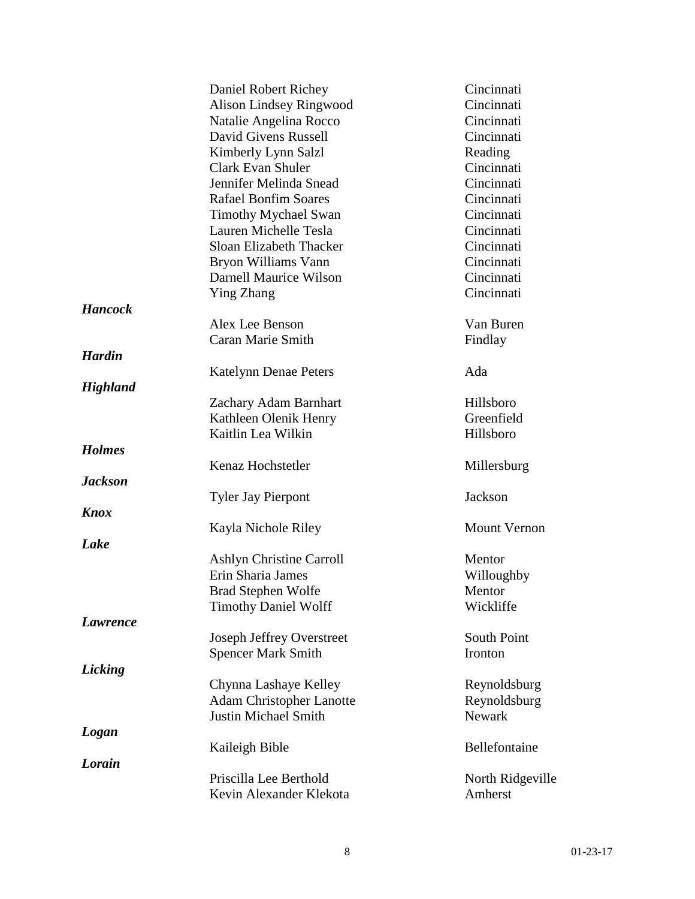|                 | Daniel Robert Richey             | Cincinnati          |
|-----------------|----------------------------------|---------------------|
|                 | <b>Alison Lindsey Ringwood</b>   | Cincinnati          |
|                 | Natalie Angelina Rocco           | Cincinnati          |
|                 | David Givens Russell             | Cincinnati          |
|                 | Kimberly Lynn Salzl              | Reading             |
|                 | <b>Clark Evan Shuler</b>         | Cincinnati          |
|                 | Jennifer Melinda Snead           | Cincinnati          |
|                 | <b>Rafael Bonfim Soares</b>      | Cincinnati          |
|                 | <b>Timothy Mychael Swan</b>      | Cincinnati          |
|                 | Lauren Michelle Tesla            | Cincinnati          |
|                 | Sloan Elizabeth Thacker          | Cincinnati          |
|                 | Bryon Williams Vann              | Cincinnati          |
|                 | Darnell Maurice Wilson           | Cincinnati          |
|                 | <b>Ying Zhang</b>                | Cincinnati          |
| <b>Hancock</b>  |                                  |                     |
|                 | Alex Lee Benson                  | Van Buren           |
|                 | Caran Marie Smith                | Findlay             |
| <b>Hardin</b>   |                                  |                     |
|                 | <b>Katelynn Denae Peters</b>     | Ada                 |
| <b>Highland</b> |                                  |                     |
|                 | Zachary Adam Barnhart            | Hillsboro           |
|                 | Kathleen Olenik Henry            | Greenfield          |
|                 | Kaitlin Lea Wilkin               | Hillsboro           |
| <b>Holmes</b>   |                                  |                     |
|                 | Kenaz Hochstetler                | Millersburg         |
| <b>Jackson</b>  |                                  |                     |
|                 | <b>Tyler Jay Pierpont</b>        | Jackson             |
| <b>Knox</b>     |                                  |                     |
|                 | Kayla Nichole Riley              | <b>Mount Vernon</b> |
| Lake            |                                  |                     |
|                 | <b>Ashlyn Christine Carroll</b>  | Mentor              |
|                 | Erin Sharia James                | Willoughby          |
|                 | <b>Brad Stephen Wolfe</b>        | Mentor              |
|                 | <b>Timothy Daniel Wolff</b>      | Wickliffe           |
| Lawrence        |                                  |                     |
|                 | <b>Joseph Jeffrey Overstreet</b> | South Point         |
|                 | <b>Spencer Mark Smith</b>        | Ironton             |
| Licking         |                                  |                     |
|                 | Chynna Lashaye Kelley            | Reynoldsburg        |
|                 | <b>Adam Christopher Lanotte</b>  | Reynoldsburg        |
|                 | <b>Justin Michael Smith</b>      | Newark              |
| Logan           |                                  |                     |
|                 | Kaileigh Bible                   | Bellefontaine       |
| Lorain          |                                  |                     |
|                 | Priscilla Lee Berthold           | North Ridgeville    |
|                 | Kevin Alexander Klekota          | Amherst             |
|                 |                                  |                     |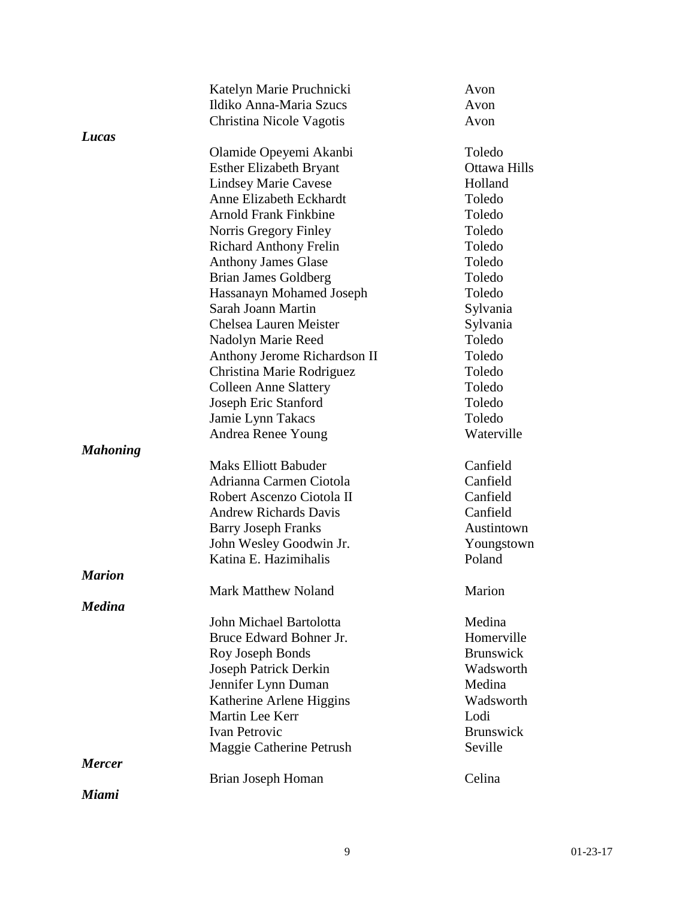|                 | Katelyn Marie Pruchnicki       | Avon             |
|-----------------|--------------------------------|------------------|
|                 | Ildiko Anna-Maria Szucs        | Avon             |
|                 | Christina Nicole Vagotis       | Avon             |
| Lucas           |                                |                  |
|                 | Olamide Opeyemi Akanbi         | Toledo           |
|                 | <b>Esther Elizabeth Bryant</b> | Ottawa Hills     |
|                 | <b>Lindsey Marie Cavese</b>    | Holland          |
|                 | Anne Elizabeth Eckhardt        | Toledo           |
|                 | <b>Arnold Frank Finkbine</b>   | Toledo           |
|                 | Norris Gregory Finley          | Toledo           |
|                 | <b>Richard Anthony Frelin</b>  | Toledo           |
|                 | <b>Anthony James Glase</b>     | Toledo           |
|                 | <b>Brian James Goldberg</b>    | Toledo           |
|                 | Hassanayn Mohamed Joseph       | Toledo           |
|                 | Sarah Joann Martin             | Sylvania         |
|                 | Chelsea Lauren Meister         | Sylvania         |
|                 | Nadolyn Marie Reed             | Toledo           |
|                 | Anthony Jerome Richardson II   | Toledo           |
|                 | Christina Marie Rodriguez      | Toledo           |
|                 | <b>Colleen Anne Slattery</b>   | Toledo           |
|                 | Joseph Eric Stanford           | Toledo           |
|                 | Jamie Lynn Takacs              | Toledo           |
|                 | Andrea Renee Young             | Waterville       |
| <b>Mahoning</b> |                                |                  |
|                 | <b>Maks Elliott Babuder</b>    | Canfield         |
|                 | Adrianna Carmen Ciotola        | Canfield         |
|                 | Robert Ascenzo Ciotola II      | Canfield         |
|                 | <b>Andrew Richards Davis</b>   | Canfield         |
|                 | <b>Barry Joseph Franks</b>     | Austintown       |
|                 | John Wesley Goodwin Jr.        | Youngstown       |
|                 | Katina E. Hazimihalis          | Poland           |
| <b>Marion</b>   |                                |                  |
|                 | <b>Mark Matthew Noland</b>     | Marion           |
| <b>Medina</b>   |                                |                  |
|                 | John Michael Bartolotta        | Medina           |
|                 | Bruce Edward Bohner Jr.        | Homerville       |
|                 | Roy Joseph Bonds               | <b>Brunswick</b> |
|                 | Joseph Patrick Derkin          | Wadsworth        |
|                 | Jennifer Lynn Duman            | Medina           |
|                 | Katherine Arlene Higgins       | Wadsworth        |
|                 | Martin Lee Kerr                | Lodi             |
|                 | <b>Ivan Petrovic</b>           | <b>Brunswick</b> |
|                 | Maggie Catherine Petrush       | Seville          |
| <b>Mercer</b>   |                                |                  |
|                 | Brian Joseph Homan             | Celina           |
| Miami           |                                |                  |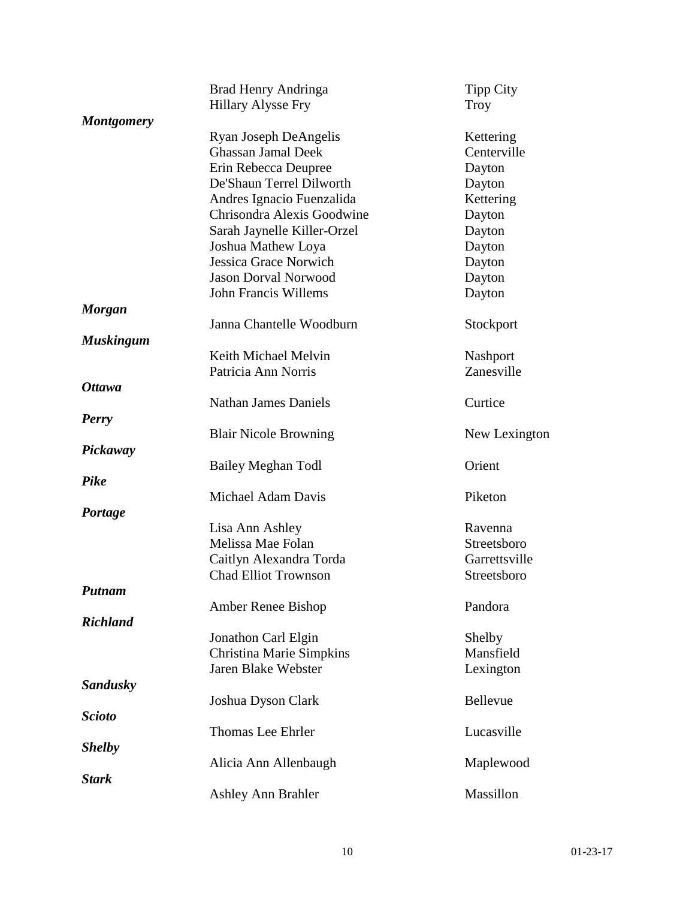|                   | Brad Henry Andringa             | <b>Tipp City</b> |
|-------------------|---------------------------------|------------------|
|                   | <b>Hillary Alysse Fry</b>       | Troy             |
| <b>Montgomery</b> |                                 |                  |
|                   | Ryan Joseph DeAngelis           | Kettering        |
|                   | <b>Ghassan Jamal Deek</b>       | Centerville      |
|                   | Erin Rebecca Deupree            | Dayton           |
|                   | De'Shaun Terrel Dilworth        | Dayton           |
|                   | Andres Ignacio Fuenzalida       | Kettering        |
|                   | Chrisondra Alexis Goodwine      | Dayton           |
|                   | Sarah Jaynelle Killer-Orzel     | Dayton           |
|                   | Joshua Mathew Loya              | Dayton           |
|                   | Jessica Grace Norwich           | Dayton           |
|                   | <b>Jason Dorval Norwood</b>     | Dayton           |
|                   | <b>John Francis Willems</b>     | Dayton           |
| <b>Morgan</b>     |                                 |                  |
|                   | Janna Chantelle Woodburn        | Stockport        |
| <b>Muskingum</b>  |                                 |                  |
|                   | Keith Michael Melvin            | Nashport         |
|                   | Patricia Ann Norris             | Zanesville       |
| <b>Ottawa</b>     |                                 |                  |
|                   | <b>Nathan James Daniels</b>     | Curtice          |
| <b>Perry</b>      |                                 |                  |
|                   | <b>Blair Nicole Browning</b>    | New Lexington    |
| Pickaway          | Bailey Meghan Todl              | Orient           |
| Pike              |                                 |                  |
|                   | Michael Adam Davis              | Piketon          |
| Portage           |                                 |                  |
|                   | Lisa Ann Ashley                 | Ravenna          |
|                   | Melissa Mae Folan               | Streetsboro      |
|                   | Caitlyn Alexandra Torda         | Garrettsville    |
|                   | <b>Chad Elliot Trownson</b>     | Streetsboro      |
| <b>Putnam</b>     |                                 |                  |
|                   | Amber Renee Bishop              | Pandora          |
| <b>Richland</b>   |                                 |                  |
|                   | Jonathon Carl Elgin             | Shelby           |
|                   | <b>Christina Marie Simpkins</b> | Mansfield        |
|                   | Jaren Blake Webster             | Lexington        |
| Sandusky          |                                 |                  |
|                   | Joshua Dyson Clark              | Bellevue         |
| <b>Scioto</b>     |                                 |                  |
|                   | Thomas Lee Ehrler               | Lucasville       |
| <b>Shelby</b>     |                                 |                  |
|                   | Alicia Ann Allenbaugh           | Maplewood        |
| <b>Stark</b>      |                                 |                  |
|                   | <b>Ashley Ann Brahler</b>       | Massillon        |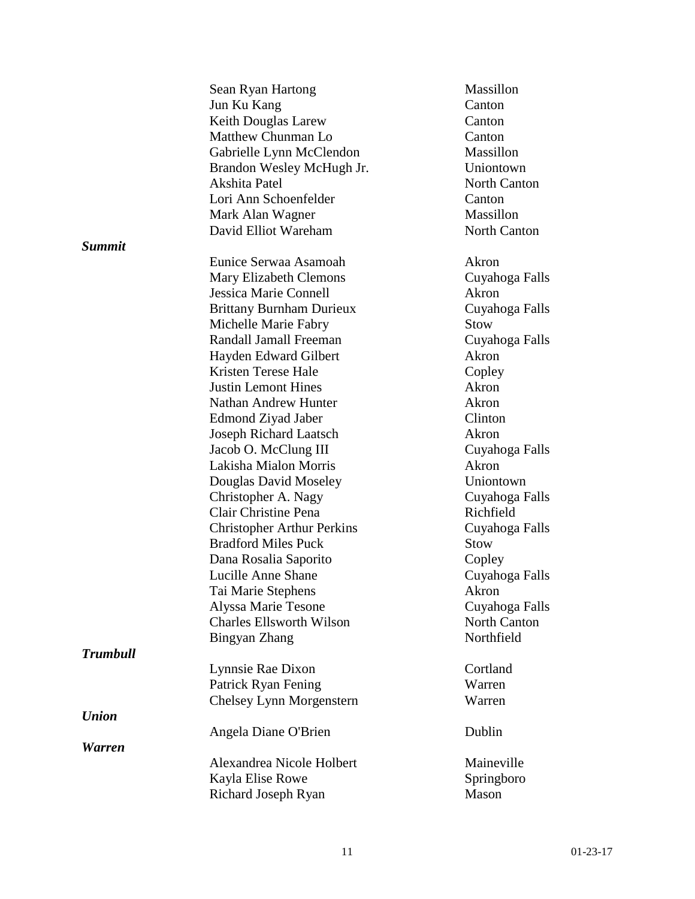|                     | Sean Ryan Hartong                 | Massillon           |
|---------------------|-----------------------------------|---------------------|
|                     | Jun Ku Kang                       | Canton              |
|                     | Keith Douglas Larew               | Canton              |
|                     | Matthew Chunman Lo                | Canton              |
|                     | Gabrielle Lynn McClendon          | Massillon           |
|                     | Brandon Wesley McHugh Jr.         | Uniontown           |
|                     | Akshita Patel                     | <b>North Canton</b> |
|                     | Lori Ann Schoenfelder             | Canton              |
|                     | Mark Alan Wagner                  | Massillon           |
|                     | David Elliot Wareham              | North Canton        |
| <b>Summit</b>       |                                   |                     |
|                     | Eunice Serwaa Asamoah             | Akron               |
|                     |                                   |                     |
|                     | <b>Mary Elizabeth Clemons</b>     | Cuyahoga Falls      |
|                     | Jessica Marie Connell             | Akron               |
|                     | <b>Brittany Burnham Durieux</b>   | Cuyahoga Falls      |
|                     | Michelle Marie Fabry              | Stow                |
|                     | Randall Jamall Freeman            | Cuyahoga Falls      |
|                     | Hayden Edward Gilbert             | Akron               |
|                     | Kristen Terese Hale               | Copley              |
|                     | <b>Justin Lemont Hines</b>        | Akron               |
|                     | <b>Nathan Andrew Hunter</b>       | Akron               |
|                     | Edmond Ziyad Jaber                | Clinton             |
|                     | Joseph Richard Laatsch            | Akron               |
|                     | Jacob O. McClung III              | Cuyahoga Falls      |
|                     | Lakisha Mialon Morris             | Akron               |
|                     | Douglas David Moseley             | Uniontown           |
|                     | Christopher A. Nagy               | Cuyahoga Falls      |
|                     | Clair Christine Pena              | Richfield           |
|                     | <b>Christopher Arthur Perkins</b> | Cuyahoga Falls      |
|                     | <b>Bradford Miles Puck</b>        | <b>Stow</b>         |
|                     | Dana Rosalia Saporito             | Copley              |
|                     | Lucille Anne Shane                | Cuyahoga Falls      |
|                     | Tai Marie Stephens                | Akron               |
|                     |                                   |                     |
|                     | Alyssa Marie Tesone               | Cuyahoga Falls      |
|                     | <b>Charles Ellsworth Wilson</b>   | North Canton        |
|                     | Bingyan Zhang                     | Northfield          |
| <b>Trumbull</b>     |                                   |                     |
|                     | Lynnsie Rae Dixon                 | Cortland            |
|                     | Patrick Ryan Fening               | Warren              |
|                     | Chelsey Lynn Morgenstern          | Warren              |
| <b><i>Union</i></b> |                                   |                     |
|                     | Angela Diane O'Brien              | Dublin              |
| <b>Warren</b>       |                                   |                     |
|                     | Alexandrea Nicole Holbert         | Maineville          |
|                     | Kayla Elise Rowe                  | Springboro          |
|                     | Richard Joseph Ryan               | Mason               |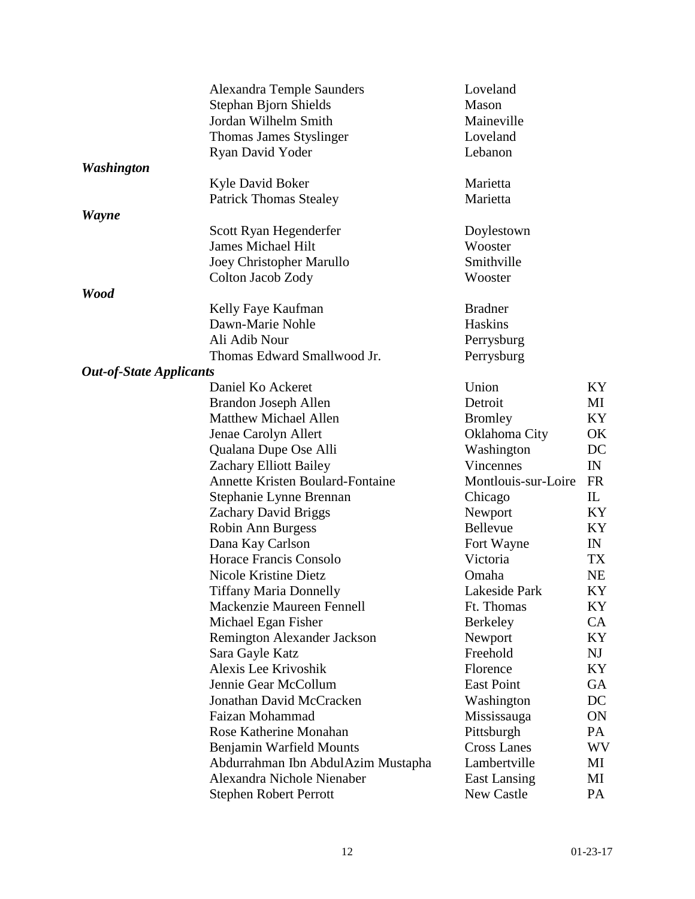|                                | <b>Alexandra Temple Saunders</b>        | Loveland            |           |
|--------------------------------|-----------------------------------------|---------------------|-----------|
|                                | Stephan Bjorn Shields                   | Mason               |           |
|                                | Jordan Wilhelm Smith                    | Maineville          |           |
|                                | Thomas James Styslinger                 | Loveland            |           |
|                                | Ryan David Yoder                        | Lebanon             |           |
| <b>Washington</b>              |                                         |                     |           |
|                                | Kyle David Boker                        | Marietta            |           |
|                                | <b>Patrick Thomas Stealey</b>           | Marietta            |           |
|                                |                                         |                     |           |
| <b>Wayne</b>                   | Scott Ryan Hegenderfer                  | Doylestown          |           |
|                                | <b>James Michael Hilt</b>               | Wooster             |           |
|                                | Joey Christopher Marullo                | Smithville          |           |
|                                |                                         |                     |           |
|                                | Colton Jacob Zody                       | Wooster             |           |
| <b>Wood</b>                    |                                         |                     |           |
|                                | Kelly Faye Kaufman                      | <b>Bradner</b>      |           |
|                                | Dawn-Marie Nohle                        | Haskins             |           |
|                                | Ali Adib Nour                           | Perrysburg          |           |
|                                | Thomas Edward Smallwood Jr.             | Perrysburg          |           |
| <b>Out-of-State Applicants</b> |                                         |                     |           |
|                                | Daniel Ko Ackeret                       | Union               | KY.       |
|                                | <b>Brandon Joseph Allen</b>             | Detroit             | МI        |
|                                | Matthew Michael Allen                   | <b>Bromley</b>      | KY        |
|                                | Jenae Carolyn Allert                    | Oklahoma City       | OK        |
|                                | Qualana Dupe Ose Alli                   | Washington          | DC        |
|                                | Zachary Elliott Bailey                  | <b>Vincennes</b>    | IN        |
|                                | <b>Annette Kristen Boulard-Fontaine</b> | Montlouis-sur-Loire | FR        |
|                                | Stephanie Lynne Brennan                 | Chicago             | IL        |
|                                | <b>Zachary David Briggs</b>             | Newport             | KY        |
|                                | Robin Ann Burgess                       | Bellevue            | KY        |
|                                | Dana Kay Carlson                        | Fort Wayne          | IN        |
|                                | Horace Francis Consolo                  | Victoria            | TX        |
|                                | Nicole Kristine Dietz                   | Omaha               | <b>NE</b> |
|                                | <b>Tiffany Maria Donnelly</b>           | Lakeside Park       | KY        |
|                                | Mackenzie Maureen Fennell               | Ft. Thomas          | KY        |
|                                | Michael Egan Fisher                     | Berkeley            | CA        |
|                                | Remington Alexander Jackson             | Newport             | KY        |
|                                | Sara Gayle Katz                         | Freehold            | NJ        |
|                                | Alexis Lee Krivoshik                    | Florence            | KY        |
|                                | Jennie Gear McCollum                    | East Point          | <b>GA</b> |
|                                | Jonathan David McCracken                | Washington          | DC        |
|                                | Faizan Mohammad                         | Mississauga         | ON        |
|                                | Rose Katherine Monahan                  | Pittsburgh          | PA        |
|                                | Benjamin Warfield Mounts                | <b>Cross Lanes</b>  | <b>WV</b> |
|                                | Abdurrahman Ibn AbdulAzim Mustapha      | Lambertville        | МI        |
|                                | Alexandra Nichole Nienaber              | <b>East Lansing</b> | МI        |
|                                | <b>Stephen Robert Perrott</b>           | New Castle          | PA        |
|                                |                                         |                     |           |